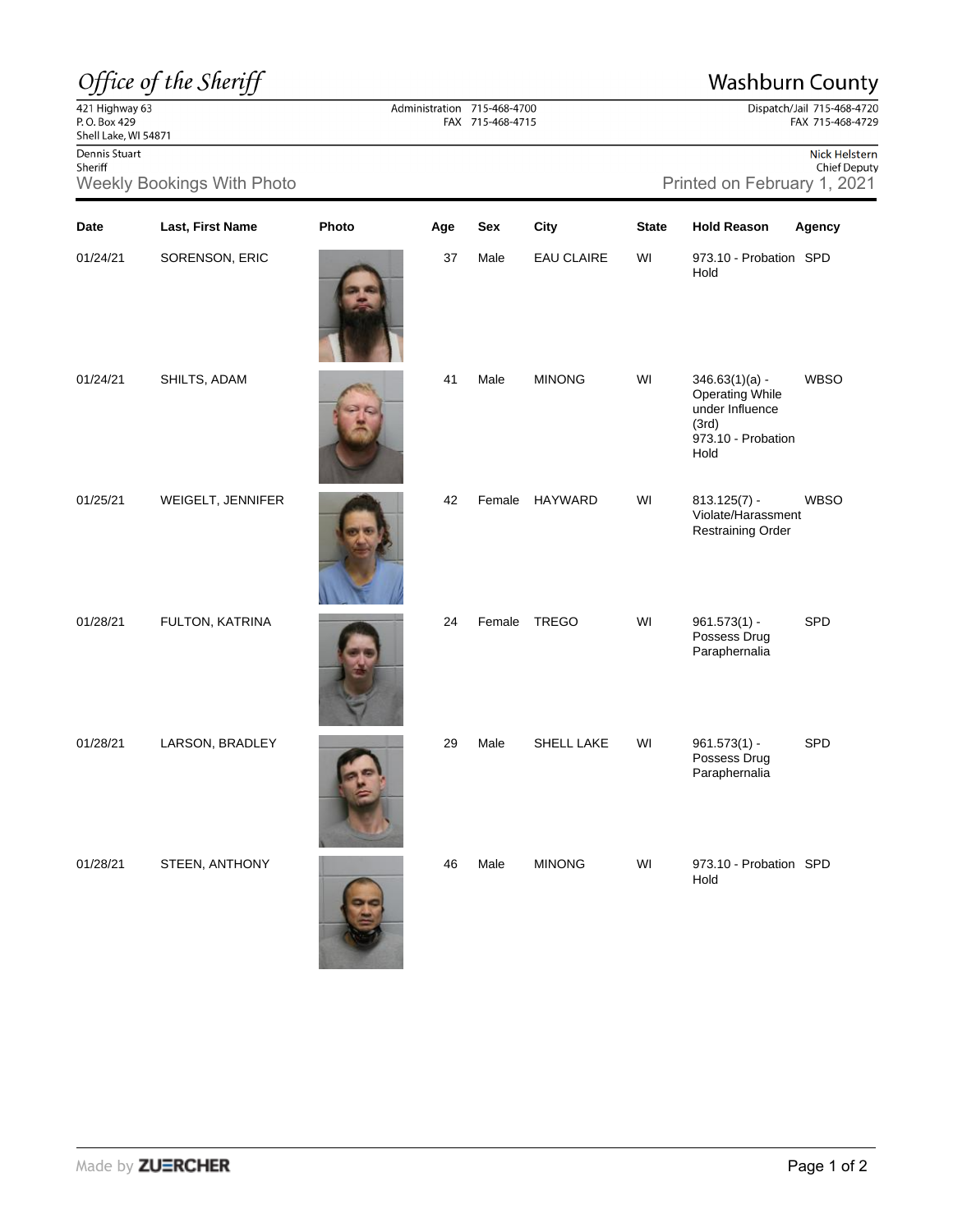## Office of the Sheriff  $\frac{22}{421}$  Highway 63<br>P.O. Box 429

## **Washburn County**

Dispatch/Jail 715-468-4720 FAX 715-468-4729

## Shell Lake, WI 54871 Dennis Stuart

Sheriff

Weekly Bookings With Photo **Printed on February 1, 2021** 

| Nick Helstern |
|---------------|
| Chief Deputy  |

| Date     | Last, First Name  | Photo | Age | Sex    | City              | <b>State</b> | <b>Hold Reason</b>                                                                            | Agency      |
|----------|-------------------|-------|-----|--------|-------------------|--------------|-----------------------------------------------------------------------------------------------|-------------|
| 01/24/21 | SORENSON, ERIC    |       | 37  | Male   | <b>EAU CLAIRE</b> | WI           | 973.10 - Probation SPD<br>Hold                                                                |             |
| 01/24/21 | SHILTS, ADAM      |       | 41  | Male   | <b>MINONG</b>     | WI           | $346.63(1)(a) -$<br>Operating While<br>under Influence<br>(3rd)<br>973.10 - Probation<br>Hold | <b>WBSO</b> |
| 01/25/21 | WEIGELT, JENNIFER |       | 42  | Female | HAYWARD           | WI           | $813.125(7) -$<br>Violate/Harassment<br>Restraining Order                                     | <b>WBSO</b> |
| 01/28/21 | FULTON, KATRINA   |       | 24  | Female | <b>TREGO</b>      | WI           | $961.573(1) -$<br>Possess Drug<br>Paraphernalia                                               | SPD         |
| 01/28/21 | LARSON, BRADLEY   |       | 29  | Male   | SHELL LAKE        | WI           | $961.573(1) -$<br>Possess Drug<br>Paraphernalia                                               | SPD         |
| 01/28/21 | STEEN, ANTHONY    |       | 46  | Male   | <b>MINONG</b>     | WI           | 973.10 - Probation SPD<br>Hold                                                                |             |

Administration 715-468-4700 FAX 715-468-4715